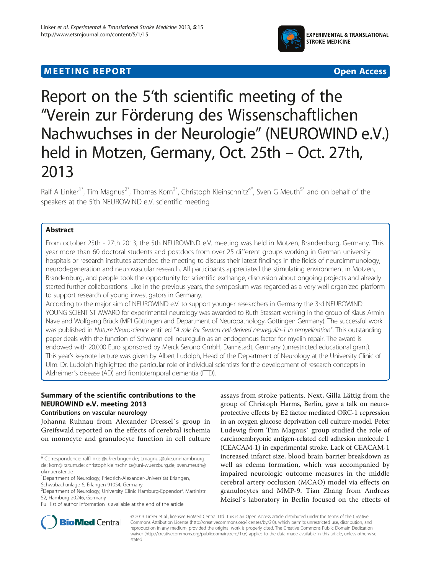

# $\mathcal{L}_{\mathbf{F}}$  . The expectation of the experimental control  $\mathcal{L}_{\mathbf{F}}$



# Report on the 5'th scientific meeting of the "Verein zur Förderung des Wissenschaftlichen Nachwuchses in der Neurologie" (NEUROWIND e.V.) held in Motzen, Germany, Oct. 25th – Oct. 27th, 2013

Ralf A Linker<sup>1\*</sup>, Tim Magnus<sup>2\*</sup>, Thomas Korn<sup>3\*</sup>, Christoph Kleinschnitz<sup>4\*</sup>, Sven G Meuth<sup>5\*</sup> and on behalf of the speakers at the 5'th NEUROWIND e.V. scientific meeting

## **Abstract**

From october 25th - 27th 2013, the 5th NEUROWIND e.V. meeting was held in Motzen, Brandenburg, Germany. This year more than 60 doctoral students and postdocs from over 25 different groups working in German university hospitals or research institutes attended the meeting to discuss their latest findings in the fields of neuroimmunology, neurodegeneration and neurovascular research. All participants appreciated the stimulating environment in Motzen, Brandenburg, and people took the opportunity for scientific exchange, discussion about ongoing projects and already started further collaborations. Like in the previous years, the symposium was regarded as a very well organized platform to support research of young investigators in Germany.

According to the major aim of NEUROWIND e.V. to support younger researchers in Germany the 3rd NEUROWIND YOUNG SCIENTIST AWARD for experimental neurology was awarded to Ruth Stassart working in the group of Klaus Armin Nave and Wolfgang Brück (MPI Göttingen and Department of Neuropathology, Göttingen Germany). The successful work was published in Nature Neuroscience entitled "A role for Swann cell-derived neuregulin-1 in remyelination". This outstanding paper deals with the function of Schwann cell neuregulin as an endogenous factor for myelin repair. The award is endowed with 20.000 Euro sponsored by Merck Serono GmbH, Darmstadt, Germany (unrestricted educational grant). This year's keynote lecture was given by Albert Ludolph, Head of the Department of Neurology at the University Clinic of Ulm. Dr. Ludolph highlighted the particular role of individual scientists for the development of research concepts in Alzheimer´s disease (AD) and frontotemporal dementia (FTD).

# Summary of the scientific contributions to the<br>NEUROWIND e.V. meeting 2013

# Contributions on vascular neurology

Johanna Ruhnau from Alexander Dressel`s group in Greifswald reported on the effects of cerebral ischemia on monocyte and granulocyte function in cell culture

assays from stroke patients. Next, Gilla Lättig from the group of Christoph Harms, Berlin, gave a talk on neuroprotective effects by E2 factor mediated ORC-1 repression in an oxygen glucose deprivation cell culture model. Peter Ludewig from Tim Magnus` group studied the role of carcinoembryonic antigen-related cell adhesion molecule 1 (CEACAM-1) in experimental stroke. Lack of CEACAM-1 increased infarct size, blood brain barrier breakdown as well as edema formation, which was accompanied by impaired neurologic outcome measures in the middle cerebral artery occlusion (MCAO) model via effects on granulocytes and MMP-9. Tian Zhang from Andreas Meisel`s laboratory in Berlin focused on the effects of



© 2013 Linker et al.; licensee BioMed Central Ltd. This is an Open Access article distributed under the terms of the Creative Commons Attribution License [\(http://creativecommons.org/licenses/by/2.0\)](http://creativecommons.org/licenses/by/2.0), which permits unrestricted use, distribution, and reproduction in any medium, provided the original work is properly cited. The Creative Commons Public Domain Dedication waiver [\(http://creativecommons.org/publicdomain/zero/1.0/\)](http://creativecommons.org/publicdomain/zero/1.0/) applies to the data made available in this article, unless otherwise stated.

<sup>\*</sup> Correspondence: [ralf.linker@uk-erlangen.de;](mailto:ralf.linker@uk-erlangen.de) [t.magnus@uke.uni-hambnurg.](mailto:t.magnus@uke.uni-hambnurg.de) [de](mailto:t.magnus@uke.uni-hambnurg.de); [korn@lrz.tum.de;](mailto:korn@lrz.tum.de) [christoph.kleinschnitz@uni-wuerzburg.de](mailto:christoph.kleinschnitz@uni-wuerzburg.de); [sven.meuth@](mailto:sven.meuth@ukmuenster.de) [ukmuenster.de](mailto:sven.meuth@ukmuenster.de)

<sup>&</sup>lt;sup>1</sup>Department of Neurology, Friedrich-Alexander-Universität Erlangen, Schwabachanlage 6, Erlangen 91054, Germany

<sup>&</sup>lt;sup>2</sup> Department of Neurology, University Clinic Hamburg-Eppendorf, Martinistr.

<sup>52,</sup> Hamburg 20246, Germany

Full list of author information is available at the end of the article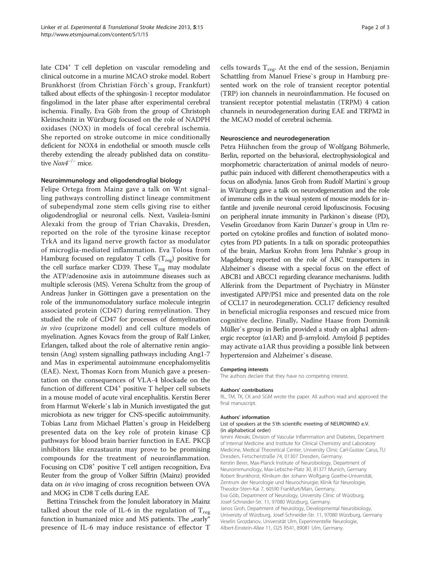late CD4<sup>+</sup> T cell depletion on vascular remodeling and clinical outcome in a murine MCAO stroke model. Robert Brunkhorst (from Christian Förch`s group, Frankfurt) talked about effects of the sphingosin-1 receptor modulator fingolimod in the later phase after experimental cerebral ischemia. Finally, Eva Göb from the group of Christoph Kleinschnitz in Würzburg focused on the role of NADPH oxidases (NOX) in models of focal cerebral ischemia. She reported on stroke outcome in mice conditionally deficient for NOX4 in endothelial or smooth muscle cells thereby extending the already published data on constitutive Nox4−/<sup>−</sup> mice.

### Neuroimmunology and oligodendroglial biology

Felipe Ortega from Mainz gave a talk on Wnt signalling pathways controlling distinct lineage commitment of subependymal zone stem cells giving rise to either oligodendroglial or neuronal cells. Next, Vasileia-Ismini Alexaki from the group of Trian Chavakis, Dresden, reported on the role of the tyrosine kinase receptor TrkA and its ligand nerve growth factor as modulator of microglia-mediated inflammation. Eva Tolosa from Hamburg focused on regulatoy T cells  $(T_{reg})$  positive for the cell surface marker CD39. These  $T_{reg}$  may modulate the ATP/adenosine axis in autoimmune diseases such as multiple sclerosis (MS). Verena Schultz from the group of Andreas Junker in Göttingen gave a presentation on the role of the immunomodulatory surface molecule integrin associated protein (CD47) during remyelination. They studied the role of CD47 for processes of demyelination in vivo (cuprizone model) and cell culture models of myelination. Agnes Kovacs from the group of Ralf Linker, Erlangen, talked about the role of alternative renin angiotensin (Ang) system signalling pathways including Ang1-7 and Mas in experimental autoimmune encephalomyelitis (EAE). Next, Thomas Korn from Munich gave a presentation on the consequences of VLA-4 blockade on the function of different  $CD4^+$  positive T helper cell subsets in a mouse model of acute viral encephalitis. Kerstin Berer from Harmut Wekerle`s lab in Munich investigated the gut microbiota as new trigger for CNS-specific autoimmunity. Tobias Lanz from Michael Platten`s group in Heidelberg presented data on the key role of protein kinase Cβ pathways for blood brain barrier function in EAE. PKCβ inhibitors like enzastaurin may prove to be promising compounds for the treatment of neuroinflammation. Focusing on CD8+ positive T cell antigen recognition, Eva Reuter from the group of Volker Siffrin (Mainz) provided data on in vivo imaging of cross recognition between OVA and MOG in CD8 T cells during EAE.

Bettina Trinschek from the Jonuleit laboratory in Mainz talked about the role of IL-6 in the regulation of  $T_{\text{reg}}$ function in humanized mice and MS patients. The "early" presence of IL-6 may induce resistance of effector T cells towards  $T_{reg}$ . At the end of the session, Benjamin Schattling from Manuel Friese`s group in Hamburg presented work on the role of transient receptor potential (TRP) ion channels in neuroinflammation. He focused on transient receptor potential melastatin (TRPM) 4 cation channels in neurodegeneration during EAE and TRPM2 in the MCAO model of cerebral ischemia.

### Neuroscience and neurodegeneration

Petra Hühnchen from the group of Wolfgang Böhmerle, Berlin, reported on the behavioral, electrophysiological and morphometric characterization of animal models of neuropathic pain induced with different chemotherapeutics with a focus on allodynia. Janos Groh from Rudolf Martini´s group in Würzburg gave a talk on neurodegeneration and the role of immune cells in the visual system of mouse models for infantile and juvenile neuronal ceroid lipofuscinosis. Focusing on peripheral innate immunity in Parkinon`s disease (PD), Veselin Grozdanov from Karin Danzer`s group in Ulm reported on cytokine profiles and function of isolated monocytes from PD patients. In a talk on sporadic proteopathies of the brain, Markus Krohn from Jens Pahnke`s group in Magdeburg reported on the role of ABC transporters in Alzheimer`s disease with a special focus on the effect of ABCB1 and ABCC1 regarding clearance mechanisms. Judith Alferink from the Department of Psychiatry in Münster investigated APP/PS1 mice and presented data on the role of CCL17 in neurodegeneration. CCL17 deficiency resulted in beneficial microglia responses and rescued mice from cognitive decline. Finally, Nadine Haase from Dominik Müller`s group in Berlin provided a study on alpha1 adrenergic receptor (α1AR) and β-amyloid. Amyloid β peptides may activate α1AR thus providing a possible link between hypertension and Alzheimer`s disease.

#### Competing interests

The authors declare that they have no competing interest.

#### Authors' contributions

RL, TM, TK, CK and SGM wrote the paper. All authors read and approved the final manuscript.

#### Authors' information

#### List of speakers at the 5'th scientific meeting of NEUROWIND e.V. (in alphabetical order)

Ismini Alexaki, Division of Vascular Inflammation and Diabetes, Department of Internal Medicine and Institute for Clinical Chemistry and Laboratory Medicine, Medical Theoretical Center, University Clinic Carl-Gustav Carus, TU Dresden, Fetscherstraße 74, 01307 Dresden, Germany. Kerstin Berer, Max-Planck Institute of Neurobiology, Department of Neuroimmunology, Max-Lebsche-Platz 30, 81377 Munich, Germany Robert Brunkhorst, Klinikum der Johann Wolfgang Goethe-Universität, Zentrum der Neurologie und Neurochirurgie, Klinik für Neurologie, Theodor-Stern-Kai 7, 60590 Frankfurt/Main, Germany. Eva Göb, Department of Neurology, University Clinic of Würzburg, Josef-Schneider-Str. 11, 97080 Würzburg, Germany. Janos Groh, Department of Neurology, Developmental Neurobiology, University of Würzburg, Josef-Schneider-Str. 11, 97080 Würzburg, Germany Veselin Grozdanov, Universität Ulm, Experimentelle Neurologie, Albert-Einstein-Allee 11, O25 R541, 89081 Ulm, Germany.